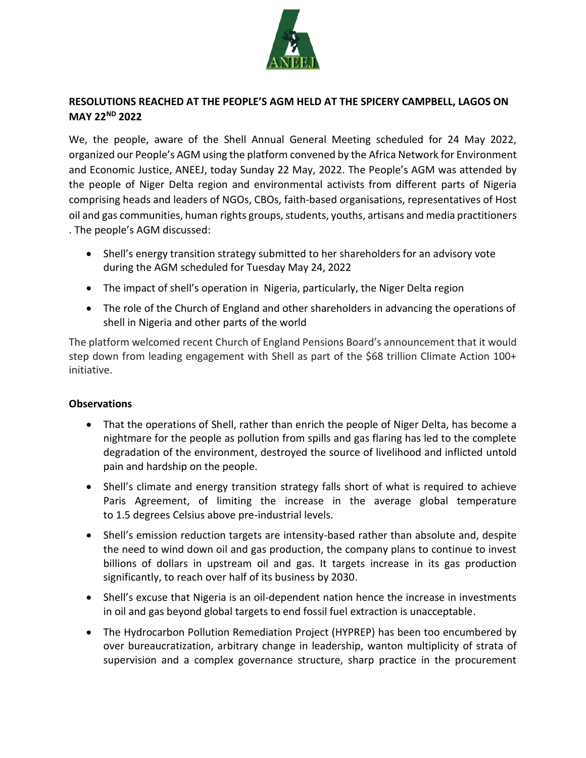

# **RESOLUTIONS REACHED AT THE PEOPLE'S AGM HELD AT THE SPICERY CAMPBELL, LAGOS ON MAY 22ND 2022**

We, the people, aware of the Shell Annual General Meeting scheduled for 24 May 2022, organized our People's AGM using the platform convened by the Africa Network for Environment and Economic Justice, ANEEJ, today Sunday 22 May, 2022. The People's AGM was attended by the people of Niger Delta region and environmental activists from different parts of Nigeria comprising heads and leaders of NGOs, CBOs, faith-based organisations, representatives of Host oil and gas communities, human rights groups, students, youths, artisans and media practitioners . The people's AGM discussed:

- Shell's energy transition strategy submitted to her shareholders for an advisory vote during the AGM scheduled for Tuesday May 24, 2022
- The impact of shell's operation in Nigeria, particularly, the Niger Delta region
- The role of the Church of England and other shareholders in advancing the operations of shell in Nigeria and other parts of the world

The platform welcomed recent Church of England Pensions Board's announcement that it would step down from leading engagement with Shell as part of the \$68 trillion Climate Action 100+ initiative.

# **Observations**

- That the operations of Shell, rather than enrich the people of Niger Delta, has become a nightmare for the people as pollution from spills and gas flaring has led to the complete degradation of the environment, destroyed the source of livelihood and inflicted untold pain and hardship on the people.
- Shell's climate and energy transition strategy falls short of what is required to achieve Paris Agreement, of limiting the increase in the average global temperature to 1.5 degrees Celsius above pre-industrial levels.
- Shell's emission reduction targets are intensity-based rather than absolute and, despite the need to wind down oil and gas production, the company plans to continue to invest billions of dollars in upstream oil and gas. It targets increase in its gas production significantly, to reach over half of its business by 2030.
- Shell's excuse that Nigeria is an oil-dependent nation hence the increase in investments in oil and gas beyond global targets to end fossil fuel extraction is unacceptable.
- The Hydrocarbon Pollution Remediation Project (HYPREP) has been too encumbered by over bureaucratization, arbitrary change in leadership, wanton multiplicity of strata of supervision and a complex governance structure, sharp practice in the procurement